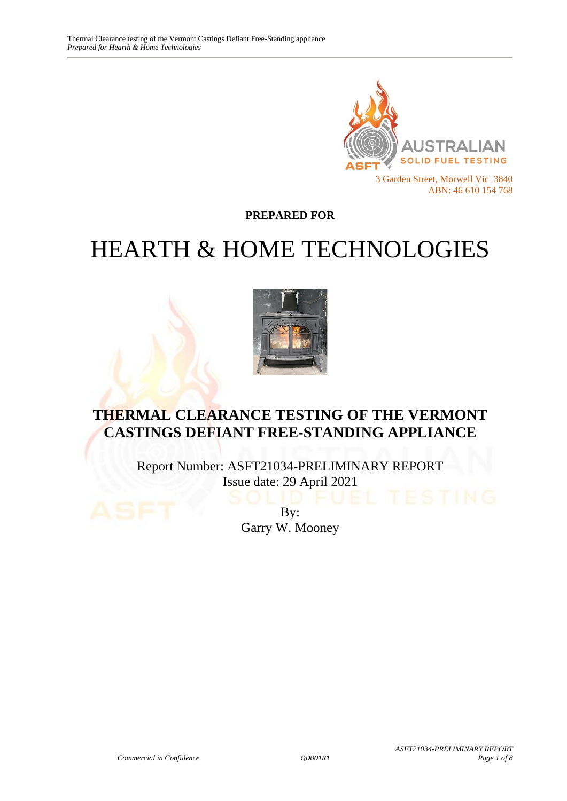

**PREPARED FOR**

# HEARTH & HOME TECHNOLOGIES



# **THERMAL CLEARANCE TESTING OF THE VERMONT CASTINGS DEFIANT FREE-STANDING APPLIANCE**

Report Number: ASFT21034-PRELIMINARY REPORT Issue date: 29 April 2021

> By: Garry W. Mooney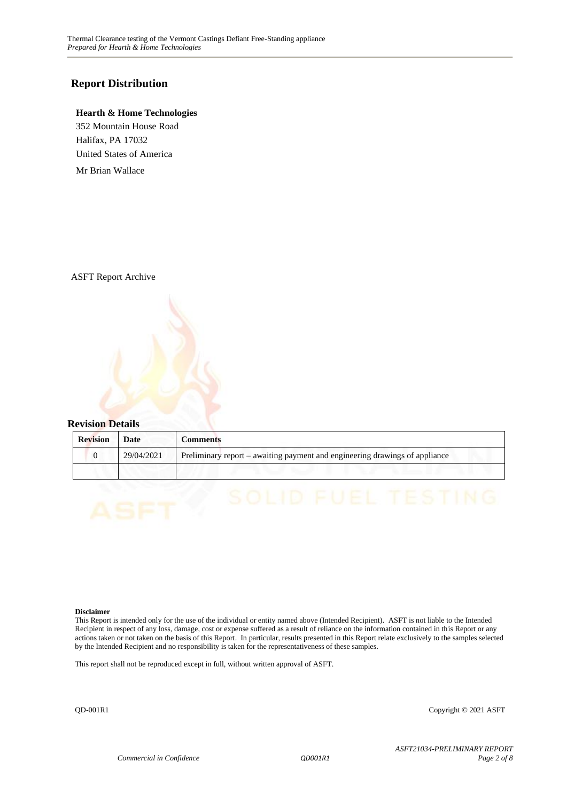#### **Report Distribution**

#### **Hearth & Home Technologies**

352 Mountain House Road Halifax, PA 17032 United States of America

Mr Brian Wallace

ASFT Report Archive



| <b>Revision</b> | Date       | Comments                                                                    |
|-----------------|------------|-----------------------------------------------------------------------------|
|                 | 29/04/2021 | Preliminary report – awaiting payment and engineering drawings of appliance |
|                 |            |                                                                             |

#### **Disclaimer**

This Report is intended only for the use of the individual or entity named above (Intended Recipient). ASFT is not liable to the Intended Recipient in respect of any loss, damage, cost or expense suffered as a result of reliance on the information contained in this Report or any actions taken or not taken on the basis of this Report. In particular, results presented in this Report relate exclusively to the samples selected by the Intended Recipient and no responsibility is taken for the representativeness of these samples.

This report shall not be reproduced except in full, without written approval of ASFT.

QD-001R1 Copyright © 2021 ASFT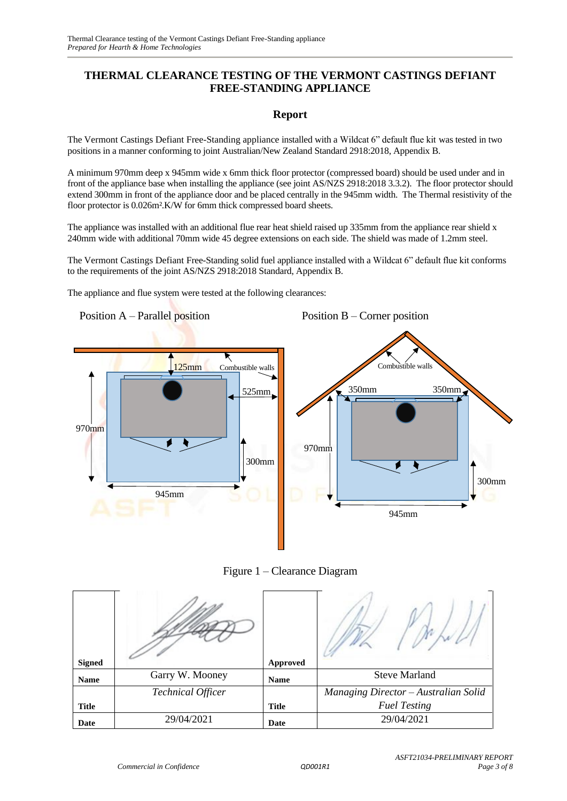#### **THERMAL CLEARANCE TESTING OF THE VERMONT CASTINGS DEFIANT FREE-STANDING APPLIANCE**

#### **Report**

The Vermont Castings Defiant Free-Standing appliance installed with a Wildcat 6" default flue kit was tested in two positions in a manner conforming to joint Australian/New Zealand Standard 2918:2018, Appendix B.

A minimum 970mm deep x 945mm wide x 6mm thick floor protector (compressed board) should be used under and in front of the appliance base when installing the appliance (see joint AS/NZS 2918:2018 3.3.2). The floor protector should extend 300mm in front of the appliance door and be placed centrally in the 945mm width. The Thermal resistivity of the floor protector is 0.026m².K/W for 6mm thick compressed board sheets.

The appliance was installed with an additional flue rear heat shield raised up 335mm from the appliance rear shield x 240mm wide with additional 70mm wide 45 degree extensions on each side. The shield was made of 1.2mm steel.

The Vermont Castings Defiant Free-Standing solid fuel appliance installed with a Wildcat 6" default flue kit conforms to the requirements of the joint AS/NZS 2918:2018 Standard, Appendix B.

The appliance and flue system were tested at the following clearances:

Position A – Parallel position **125mm** Combustible walls 525mm 970mm 300mm 945mm Position B – Corner position Combustible walls 350mm 350mm 970mm 300mm 945mm



| <b>Signed</b> |                          | Approved     |                                      |  |
|---------------|--------------------------|--------------|--------------------------------------|--|
| <b>Name</b>   | Garry W. Mooney          | <b>Name</b>  | <b>Steve Marland</b>                 |  |
|               | <b>Technical Officer</b> |              | Managing Director - Australian Solid |  |
| <b>Title</b>  |                          | <b>Title</b> | <b>Fuel Testing</b>                  |  |
| Date          | 29/04/2021               | Date         | 29/04/2021                           |  |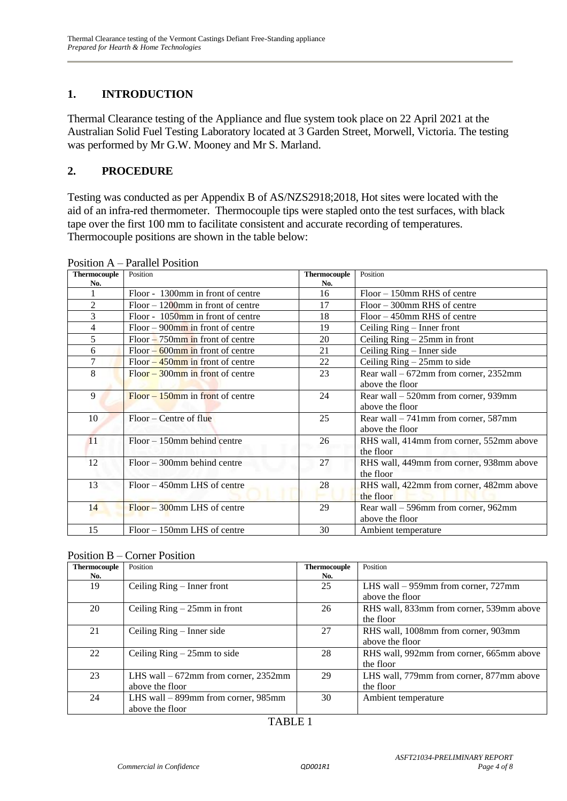### **1. INTRODUCTION**

Thermal Clearance testing of the Appliance and flue system took place on 22 April 2021 at the Australian Solid Fuel Testing Laboratory located at 3 Garden Street, Morwell, Victoria. The testing was performed by Mr G.W. Mooney and Mr S. Marland.

#### **2. PROCEDURE**

Testing was conducted as per Appendix B of AS/NZS2918;2018, Hot sites were located with the aid of an infra-red thermometer. Thermocouple tips were stapled onto the test surfaces, with black tape over the first 100 mm to facilitate consistent and accurate recording of temperatures. Thermocouple positions are shown in the table below:

| <b>Thermocouple</b> | Position                             | <b>Thermocouple</b> | Position                                 |
|---------------------|--------------------------------------|---------------------|------------------------------------------|
| No.                 |                                      | No.                 |                                          |
|                     | Floor - 1300mm in front of centre    | 16                  | Floor - 150mm RHS of centre              |
| $\overline{2}$      | $Floor - 1200$ mm in front of centre | 17                  | $Floor - 300$ mm RHS of centre           |
| 3                   | Floor - 1050mm in front of centre    | 18                  | $Floor - 450$ mm RHS of centre           |
| 4                   | $Floor - 900$ mm in front of centre  | 19                  | Ceiling Ring – Inner front               |
| 5                   | $Floor - 750$ mm in front of centre  | 20                  | Ceiling $Ring - 25mm$ in front           |
| 6                   | $Floor - 600$ mm in front of centre  | 21                  | Ceiling Ring – Inner side                |
| 7                   | $Floor - 450$ mm in front of centre  | 22                  | Ceiling $Ring - 25mm$ to side            |
| 8                   | $Floor - 300$ mm in front of centre  | 23                  | Rear wall $-672$ mm from corner, 2352mm  |
|                     |                                      |                     | above the floor                          |
| 9                   | $Floor - 150$ mm in front of centre  | 24                  | Rear wall – 520mm from corner, 939mm     |
|                     |                                      |                     | above the floor                          |
| 10                  | $Floor - Centre of flu$              | 25                  | Rear wall $-741$ mm from corner, 587mm   |
|                     |                                      |                     | above the floor                          |
| 11                  | $Floor - 150$ mm behind centre       | 26                  | RHS wall, 414mm from corner, 552mm above |
|                     |                                      |                     | the floor                                |
| 12                  | $Floor - 300$ mm behind centre       | 27                  | RHS wall, 449mm from corner, 938mm above |
|                     |                                      |                     | the floor                                |
| 13                  | Floor – 450mm LHS of centre          | 28                  | RHS wall, 422mm from corner, 482mm above |
|                     |                                      |                     | the floor                                |
| 14                  | $Floor - 300$ mm LHS of centre       | 29                  | Rear wall – 596mm from corner, 962mm     |
|                     |                                      |                     | above the floor                          |
| 15                  | Floor – 150mm LHS of centre          | 30                  | Ambient temperature                      |

Position A – Parallel Position

| <b>Thermocouple</b> | Position                               | <b>Thermocouple</b> | Position                                 |
|---------------------|----------------------------------------|---------------------|------------------------------------------|
| No.                 |                                        | No.                 |                                          |
| 19                  | Ceiling Ring – Inner front             | 25                  | LHS wall $-959$ mm from corner, 727mm    |
|                     |                                        |                     | above the floor                          |
| 20                  | Ceiling $Ring - 25mm$ in front         | 26                  | RHS wall, 833mm from corner, 539mm above |
|                     |                                        |                     | the floor                                |
| 21                  | Ceiling $Ring - Inner side$            | 27                  | RHS wall, 1008mm from corner, 903mm      |
|                     |                                        |                     | above the floor                          |
| 22                  | Ceiling $Ring - 25mm$ to side          | 28                  | RHS wall, 992mm from corner, 665mm above |
|                     |                                        |                     | the floor                                |
| 23                  | LHS wall $-672$ mm from corner, 2352mm | 29                  | LHS wall, 779mm from corner, 877mm above |
|                     | above the floor                        |                     | the floor                                |
| 24                  | LHS wall $-$ 899mm from corner, 985mm  | 30                  | Ambient temperature                      |
|                     | above the floor                        |                     |                                          |

#### TABLE 1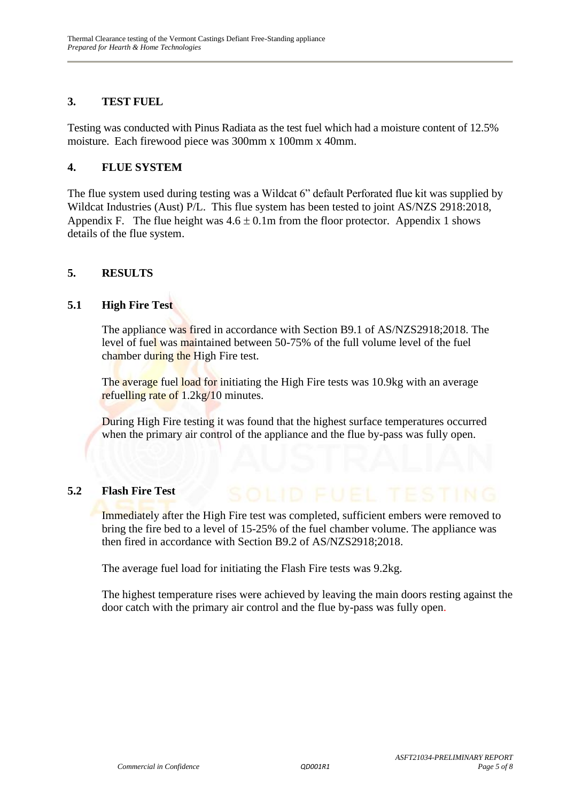#### **3. TEST FUEL**

Testing was conducted with Pinus Radiata as the test fuel which had a moisture content of 12.5% moisture. Each firewood piece was 300mm x 100mm x 40mm.

#### **4. FLUE SYSTEM**

The flue system used during testing was a Wildcat 6" default Perforated flue kit was supplied by Wildcat Industries (Aust) P/L. This flue system has been tested to joint AS/NZS 2918:2018, Appendix F. The flue height was  $4.6 \pm 0.1$ m from the floor protector. Appendix 1 shows details of the flue system.

#### **5. RESULTS**

#### **5.1 High Fire Test**

The appliance was fired in accordance with Section B9.1 of AS/NZS2918;2018. The level of fuel was maintained between 50-75% of the full volume level of the fuel chamber during the High Fire test.

The average fuel load for initiating the High Fire tests was 10.9kg with an average refuelling rate of 1.2kg/10 minutes.

During High Fire testing it was found that the highest surface temperatures occurred when the primary air control of the appliance and the flue by-pass was fully open.

#### **5.2 Flash Fire Test**

Immediately after the High Fire test was completed, sufficient embers were removed to bring the fire bed to a level of 15-25% of the fuel chamber volume. The appliance was then fired in accordance with Section B9.2 of AS/NZS2918;2018.

The average fuel load for initiating the Flash Fire tests was 9.2kg.

The highest temperature rises were achieved by leaving the main doors resting against the door catch with the primary air control and the flue by-pass was fully open.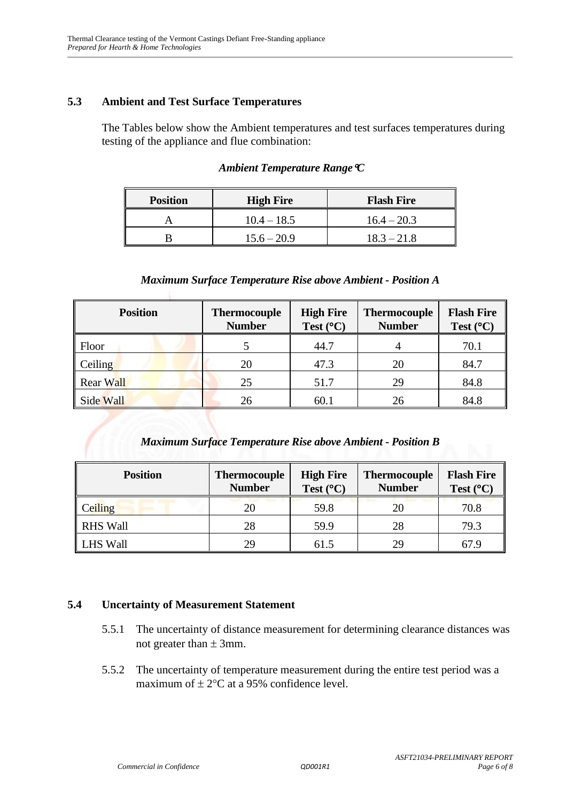#### **5.3 Ambient and Test Surface Temperatures**

The Tables below show the Ambient temperatures and test surfaces temperatures during testing of the appliance and flue combination:

| <b>Position</b> | <b>High Fire</b> | <b>Flash Fire</b> |
|-----------------|------------------|-------------------|
|                 | $10.4 - 18.5$    | $16.4 - 20.3$     |
|                 | $15.6 - 20.9$    | $18.3 - 21.8$     |

#### *Ambient Temperature RangeC*

#### *Maximum Surface Temperature Rise above Ambient - Position A*

| <b>Position</b>  | <b>Thermocouple</b><br><b>Number</b> | <b>High Fire</b><br>Test $(^{\circ}C)$ | <b>Thermocouple</b><br><b>Number</b> | <b>Flash Fire</b><br>Test $(^{\circ}C)$ |
|------------------|--------------------------------------|----------------------------------------|--------------------------------------|-----------------------------------------|
| Floor            |                                      | 44.7                                   |                                      | 70.1                                    |
| Ceiling          | 20                                   | 47.3                                   | 20                                   | 84.7                                    |
| <b>Rear Wall</b> | 25                                   | 51.7                                   | 29                                   | 84.8                                    |
| Side Wall        | 26                                   | 60.1                                   | 26                                   | 84.8                                    |

#### *Maximum Surface Temperature Rise above Ambient - Position B*

| <b>Position</b> | <b>Thermocouple</b><br><b>Number</b> | <b>High Fire</b><br>Test $(^{\circ}C)$ | <b>Thermocouple</b><br><b>Number</b> | <b>Flash Fire</b><br>Test $(^{\circ}C)$ |
|-----------------|--------------------------------------|----------------------------------------|--------------------------------------|-----------------------------------------|
| Ceiling         | 20                                   | 59.8                                   | 20                                   | 70.8                                    |
| <b>RHS Wall</b> | 28                                   | 59.9                                   | 28                                   | 79.3                                    |
| <b>LHS Wall</b> | 29                                   | 61.5                                   | 29                                   | 67.9                                    |

#### **5.4 Uncertainty of Measurement Statement**

- 5.5.1 The uncertainty of distance measurement for determining clearance distances was not greater than  $\pm$  3mm.
- 5.5.2 The uncertainty of temperature measurement during the entire test period was a maximum of  $\pm 2$ °C at a 95% confidence level.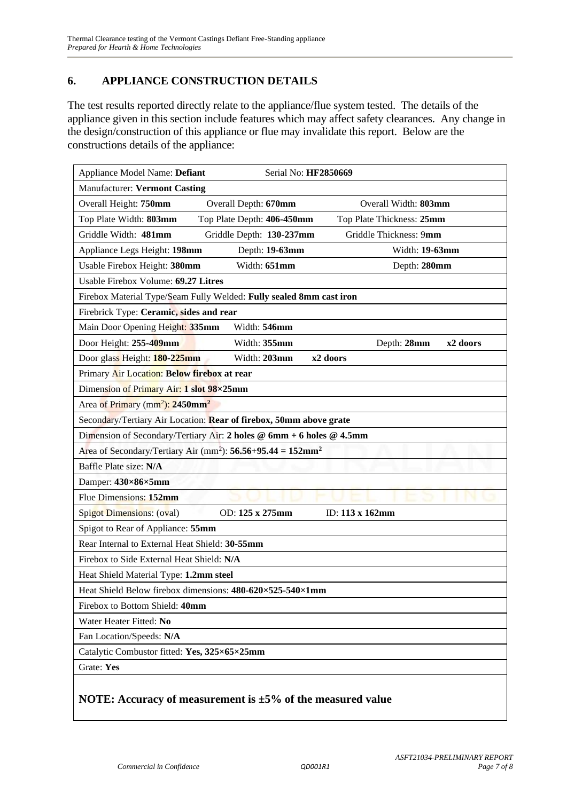#### **6. APPLIANCE CONSTRUCTION DETAILS**

The test results reported directly relate to the appliance/flue system tested. The details of the appliance given in this section include features which may affect safety clearances. Any change in the design/construction of this appliance or flue may invalidate this report. Below are the constructions details of the appliance:

| Serial No: HF2850669<br>Appliance Model Name: Defiant                                  |
|----------------------------------------------------------------------------------------|
| <b>Manufacturer: Vermont Casting</b>                                                   |
| Overall Height: 750mm<br>Overall Depth: 670mm<br>Overall Width: 803mm                  |
| Top Plate Width: 803mm<br>Top Plate Depth: 406-450mm<br>Top Plate Thickness: 25mm      |
| Griddle Width: 481mm<br>Griddle Depth: 130-237mm<br>Griddle Thickness: 9mm             |
| Appliance Legs Height: 198mm<br>Width: 19-63mm<br>Depth: 19-63mm                       |
| Width: 651mm<br>Usable Firebox Height: 380mm<br>Depth: 280mm                           |
| Usable Firebox Volume: 69.27 Litres                                                    |
| Firebox Material Type/Seam Fully Welded: Fully sealed 8mm cast iron                    |
| Firebrick Type: Ceramic, sides and rear                                                |
| Main Door Opening Height: 335mm<br>Width: 546mm                                        |
| Door Height: 255-409mm<br>Width: 355mm<br>x2 doors<br>Depth: 28mm                      |
| Door glass Height: 180-225mm<br>Width: 203mm<br>x2 doors                               |
| Primary Air Location: Below firebox at rear                                            |
| Dimension of Primary Air: 1 slot 98×25mm                                               |
| Area of Primary (mm <sup>2</sup> ): 2450mm <sup>2</sup>                                |
| Secondary/Tertiary Air Location: Rear of firebox, 50mm above grate                     |
| Dimension of Secondary/Tertiary Air: 2 holes @ 6mm + 6 holes @ 4.5mm                   |
| Area of Secondary/Tertiary Air (mm <sup>2</sup> ): $56.56+95.44 = 152$ mm <sup>2</sup> |
| Baffle Plate size: N/A                                                                 |
| Damper: 430×86×5mm                                                                     |
| Flue Dimensions: 152mm                                                                 |
| Spigot Dimensions: (oval)<br>OD: 125 x 275mm<br>ID: 113 x 162mm                        |
| Spigot to Rear of Appliance: 55mm                                                      |
| Rear Internal to External Heat Shield: 30-55mm                                         |
| Firebox to Side External Heat Shield: N/A                                              |
| Heat Shield Material Type: 1.2mm steel                                                 |
| Heat Shield Below firebox dimensions: 480-620×525-540×1mm                              |
| Firebox to Bottom Shield: 40mm                                                         |
| Water Heater Fitted: No                                                                |
| Fan Location/Speeds: N/A                                                               |
| Catalytic Combustor fitted: Yes, 325×65×25mm                                           |
| Grate: Yes                                                                             |
| NOTE: Accuracy of measurement is $\pm 5\%$ of the measured value                       |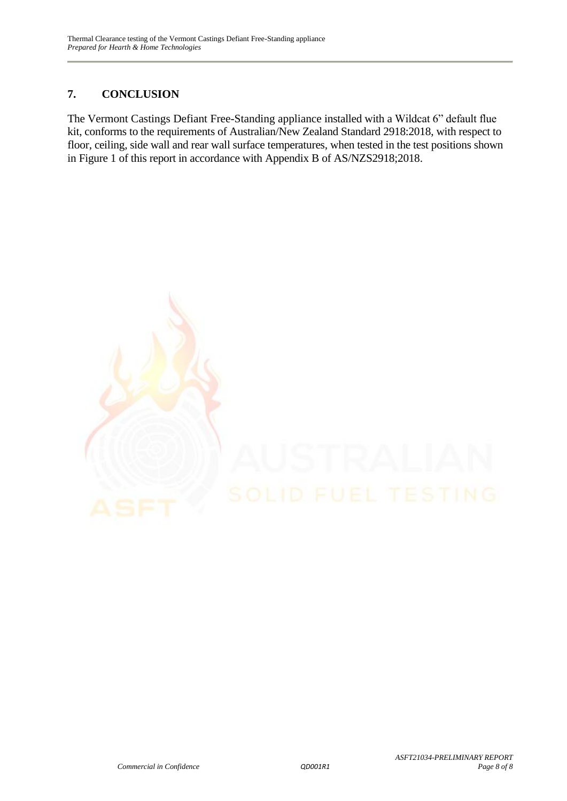## **7. CONCLUSION**

The Vermont Castings Defiant Free-Standing appliance installed with a Wildcat 6" default flue kit, conforms to the requirements of Australian/New Zealand Standard 2918:2018, with respect to floor, ceiling, side wall and rear wall surface temperatures, when tested in the test positions shown in Figure 1 of this report in accordance with Appendix B of AS/NZS2918;2018.